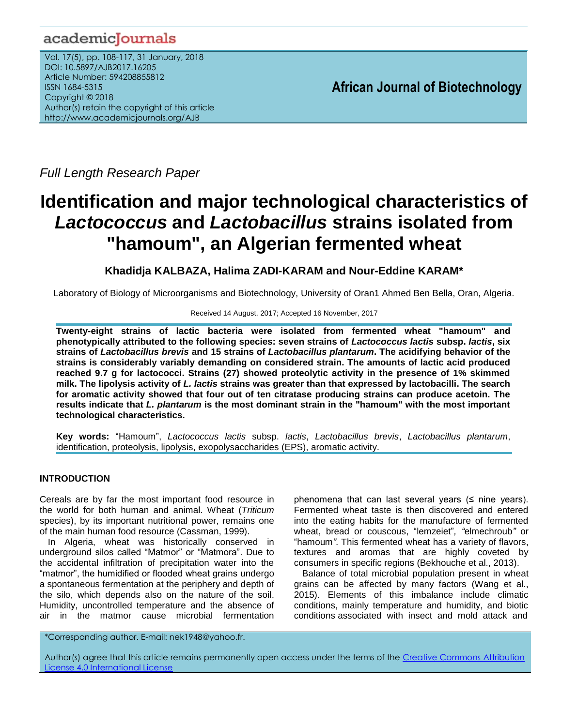# academicJournals

Vol. 17(5), pp. 108-117, 31 January, 2018 DOI: 10.5897/AJB2017.16205 Article Number: 594208855812 ISSN 1684-5315 Copyright © 2018 Author(s) retain the copyright of this article http://www.academicjournals.org/AJB

**African Journal of Biotechnology**

*Full Length Research Paper*

# **Identification and major technological characteristics of**  *Lactococcus* **and** *Lactobacillus* **strains isolated from "hamoum", an Algerian fermented wheat**

**Khadidja KALBAZA, Halima ZADI-KARAM and Nour-Eddine KARAM\***

Laboratory of Biology of Microorganisms and Biotechnology, University of Oran1 Ahmed Ben Bella, Oran, Algeria.

#### Received 14 August, 2017; Accepted 16 November, 2017

**Twenty-eight strains of lactic bacteria were isolated from fermented wheat "hamoum" and phenotypically attributed to the following species: seven strains of** *Lactococcus lactis* **subsp.** *lactis***, six strains of** *Lactobacillus brevis* **and 15 strains of** *Lactobacillus plantarum***. The acidifying behavior of the strains is considerably variably demanding on considered strain. The amounts of lactic acid produced reached 9.7 g for lactococci. Strains (27) showed proteolytic activity in the presence of 1% skimmed milk. The lipolysis activity of** *L. lactis* **strains was greater than that expressed by lactobacilli. The search for aromatic activity showed that four out of ten citratase producing strains can produce acetoin. The results indicate that** *L. plantarum* **is the most dominant strain in the "hamoum" with the most important technological characteristics.**

**Key words:** "Hamoum", *Lactococcus lactis* subsp. *lactis*, *Lactobacillus brevis*, *Lactobacillus plantarum*, identification, proteolysis, lipolysis, exopolysaccharides (EPS), aromatic activity.

# **INTRODUCTION**

Cereals are by far the most important food resource in the world for both human and animal. Wheat (*Triticum* species), by its important nutritional power, remains one of the main human food resource [\(Cassman,](https://www.ncbi.nlm.nih.gov/pubmed/?term=Cassman%20KG%5BAuthor%5D&cauthor=true&cauthor_uid=10339523) 1999).

In Algeria, wheat was historically conserved in underground silos called "Matmor" or "Matmora". Due to the accidental infiltration of precipitation water into the "matmor", the humidified or flooded wheat grains undergo a spontaneous fermentation at the periphery and depth of the silo, which depends also on the nature of the soil. Humidity, uncontrolled temperature and the absence of air in the matmor cause microbial fermentation phenomena that can last several years  $(≤$  nine years). Fermented wheat taste is then discovered and entered into the eating habits for the manufacture of fermented wheat, bread or couscous, "lemzeiet"*, "*elmechroub*"* or "hamoum*"*. This fermented wheat has a variety of flavors, textures and aromas that are highly coveted by consumers in specific regions (Bekhouche et al., 2013).

Balance of total microbial population present in wheat grains can be affected by many factors [\(Wang](https://www.ncbi.nlm.nih.gov/pubmed/?term=Wang%20Y%5BAuthor%5D&cauthor=true&cauthor_uid=26104520) et al., 2015). Elements of this imbalance include climatic conditions, mainly temperature and humidity, and biotic conditions associated with insect and mold attack and

\*Corresponding author. E-mail: nek1948@yahoo.fr.

Author(s) agree that this article remains permanently open access under the terms of the Creative Commons Attribution [License 4.0 International License](http://creativecommons.org/licenses/by/4.0/deed.en_US)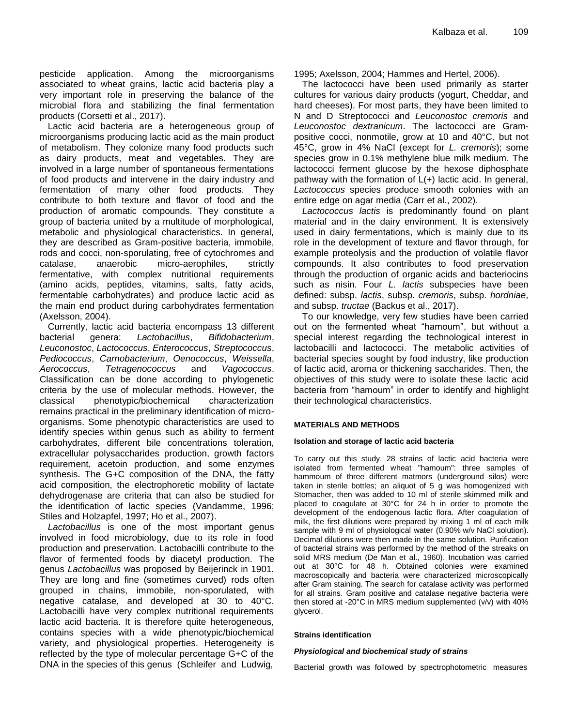pesticide application. Among the microorganisms associated to wheat grains, lactic acid bacteria play a very important role in preserving the balance of the microbial flora and stabilizing the final fermentation products (Corsetti et al., 2017).

Lactic acid bacteria are a heterogeneous group of microorganisms producing lactic acid as the main product of metabolism. They colonize many food products such as dairy products, meat and vegetables. They are involved in a large number of spontaneous fermentations of food products and intervene in the dairy industry and fermentation of many other food products. They contribute to both texture and flavor of food and the production of aromatic compounds. They constitute a group of bacteria united by a multitude of morphological, metabolic and physiological characteristics. In general, they are described as Gram-positive bacteria, immobile, rods and cocci, non-sporulating, free of cytochromes and catalase, anaerobic micro-aerophiles, strictly fermentative, with complex nutritional requirements (amino acids, peptides, vitamins, salts, fatty acids, fermentable carbohydrates) and produce lactic acid as the main end product during carbohydrates fermentation (Axelsson, 2004).

Currently, lactic acid bacteria encompass 13 different bacterial genera: *Lactobacillus*, *Bifidobacterium*, *Leuconostoc*, *Lactococcus*, *Enterococcus*, *Streptococcus*, *Pediococcus*, *Carnobacterium*, *Oenococcus*, *Weissella*, *Aerococcus*, *Tetragenococcus* and *Vagococcus*. Classification can be done according to phylogenetic criteria by the use of molecular methods. However, the classical phenotypic/biochemical characterization remains practical in the preliminary identification of microorganisms. Some phenotypic characteristics are used to identify species within genus such as ability to ferment carbohydrates, different bile concentrations toleration, extracellular polysaccharides production, growth factors requirement, acetoin production, and some enzymes synthesis. The G+C composition of the DNA, the fatty acid composition, the electrophoretic mobility of lactate dehydrogenase are criteria that can also be studied for the identification of lactic species (Vandamme, 1996; Stiles and Holzapfel, 1997; Ho et al., 2007).

*Lactobacillus* is one of the most important genus involved in food microbiology, due to its role in food production and preservation. Lactobacilli contribute to the flavor of fermented foods by diacetyl production. The genus *Lactobacillus* was proposed by Beijerinck in 1901. They are long and fine (sometimes curved) rods often grouped in chains, immobile, non-sporulated, with negative catalase, and developed at 30 to 40°C. Lactobacilli have very complex nutritional requirements lactic acid bacteria. It is therefore quite heterogeneous, contains species with a wide phenotypic/biochemical variety, and physiological properties. Heterogeneity is reflected by the type of molecular percentage G+C of the DNA in the species of this genus (Schleifer and Ludwig,

1995; Axelsson, 2004; Hammes and Hertel, 2006).

The lactococci have been used primarily as starter cultures for various dairy products (yogurt, Cheddar, and hard cheeses). For most parts, they have been limited to N and D Streptococci and *Leuconostoc cremoris* and *Leuconostoc dextranicum*. The lactococci are Grampositive cocci, nonmotile, grow at 10 and 40°C, but not 45°C, grow in 4% NaCl (except for *L. cremoris*); some species grow in 0.1% methylene blue milk medium. The lactococci ferment glucose by the hexose diphosphate pathway with the formation of L(+) lactic acid. In general, *Lactococcus* species produce smooth colonies with an entire edge on agar media (Carr et al., 2002).

*Lactococcus lactis* is predominantly found on plant material and in the dairy environment. It is extensively used in dairy fermentations, which is mainly due to its role in the development of texture and flavor through, for example proteolysis and the production of volatile flavor compounds. It also contributes to food preservation through the production of organic acids and bacteriocins such as nisin. Four *L. lactis* subspecies have been defined: subsp. *lactis*, subsp. *cremoris*, subsp. *hordniae*, and subsp. *tructae* (Backus et al., 2017).

To our knowledge, very few studies have been carried out on the fermented wheat "hamoum", but without a special interest regarding the technological interest in lactobacilli and lactococci. The metabolic activities of bacterial species sought by food industry, like production of lactic acid, aroma or thickening saccharides. Then, the objectives of this study were to isolate these lactic acid bacteria from "hamoum" in order to identify and highlight their technological characteristics.

#### **MATERIALS AND METHODS**

#### **Isolation and storage of lactic acid bacteria**

To carry out this study, 28 strains of lactic acid bacteria were isolated from fermented wheat "hamoum": three samples of hammoum of three different matmors (underground silos) were taken in sterile bottles; an aliquot of 5 g was homogenized with Stomacher, then was added to 10 ml of sterile skimmed milk and placed to coagulate at 30°C for 24 h in order to promote the development of the endogenous lactic flora. After coagulation of milk, the first dilutions were prepared by mixing 1 ml of each milk sample with 9 ml of physiological water (0.90% w/v NaCl solution). Decimal dilutions were then made in the same solution. Purification of bacterial strains was performed by the method of the streaks on solid MRS medium (De Man et al., 1960). Incubation was carried out at 30°C for 48 h. Obtained colonies were examined macroscopically and bacteria were characterized microscopically after Gram staining. The search for catalase activity was performed for all strains. Gram positive and catalase negative bacteria were then stored at -20°C in MRS medium supplemented (v/v) with 40% glycerol.

#### **Strains identification**

#### *Physiological and biochemical study of strains*

Bacterial growth was followed by spectrophotometric measures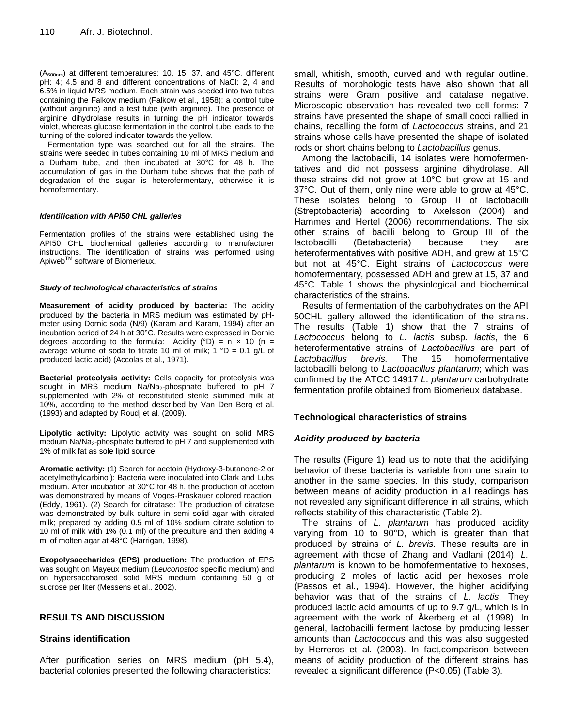$(A_{600nm})$  at different temperatures: 10, 15, 37, and 45 $^{\circ}$ C, different pH: 4; 4.5 and 8 and different concentrations of NaCl: 2, 4 and 6.5% in liquid MRS medium. Each strain was seeded into two tubes containing the Falkow medium (Falkow et al., 1958): a control tube (without arginine) and a test tube (with arginine). The presence of arginine dihydrolase results in turning the pH indicator towards violet, whereas glucose fermentation in the control tube leads to the turning of the colored indicator towards the yellow.

Fermentation type was searched out for all the strains. The strains were seeded in tubes containing 10 ml of MRS medium and a Durham tube, and then incubated at 30°C for 48 h. The accumulation of gas in the Durham tube shows that the path of degradation of the sugar is heterofermentary, otherwise it is homofermentary.

#### *Identification with API50 CHL galleries*

Fermentation profiles of the strains were established using the API50 CHL biochemical galleries according to manufacturer instructions. The identification of strains was performed using Apiweb<sup>™</sup> software of Biomerieux.

#### *Study of technological characteristics of strains*

**Measurement of acidity produced by bacteria:** The acidity produced by the bacteria in MRS medium was estimated by pHmeter using Dornic soda (N/9) (Karam and Karam, 1994) after an incubation period of 24 h at 30°C. Results were expressed in Dornic degrees according to the formula: Acidity ( $°D$ ) = n x 10 (n = average volume of soda to titrate 10 ml of milk;  $1 \degree D = 0.1$  g/L of produced lactic acid) (Accolas et al., 1971).

**Bacterial proteolysis activity:** Cells capacity for proteolysis was sought in MRS medium Na/Na<sub>2</sub>-phosphate buffered to pH 7 supplemented with 2% of reconstituted sterile skimmed milk at 10%, according to the method described by Van Den Berg et al. (1993) and adapted by Roudj et al*.* (2009).

**Lipolytic activity:** Lipolytic activity was sought on solid MRS medium Na/Na<sub>2</sub>-phosphate buffered to pH 7 and supplemented with 1% of milk fat as sole lipid source.

**Aromatic activity:** (1) Search for acetoin (Hydroxy-3-butanone-2 or acetylmethylcarbinol): Bacteria were inoculated into Clark and Lubs medium. After incubation at 30°C for 48 h, the production of acetoin was demonstrated by means of Voges-Proskauer colored reaction (Eddy, 1961). (2) Search for citratase: The production of citratase was demonstrated by bulk culture in semi-solid agar with citrated milk; prepared by adding 0.5 ml of 10% sodium citrate solution to 10 ml of milk with 1% (0.1 ml) of the preculture and then adding 4 ml of molten agar at 48°C (Harrigan, 1998).

**Exopolysaccharides (EPS) production:** The production of EPS was sought on Mayeux medium (*Leuconostoc* specific medium) and on hypersaccharosed solid MRS medium containing 50 g of sucrose per liter (Messens et al., 2002).

# **RESULTS AND DISCUSSION**

#### **Strains identification**

After purification series on MRS medium (pH 5.4), bacterial colonies presented the following characteristics:

small, whitish, smooth, curved and with regular outline. Results of morphologic tests have also shown that all strains were Gram positive and catalase negative. Microscopic observation has revealed two cell forms: 7 strains have presented the shape of small cocci rallied in chains, recalling the form of *Lactococcus* strains, and 21 strains whose cells have presented the shape of isolated rods or short chains belong to *Lactobacillus* genus.

Among the lactobacilli, 14 isolates were homofermentatives and did not possess arginine dihydrolase. All these strains did not grow at 10°C but grew at 15 and 37°C. Out of them, only nine were able to grow at 45°C. These isolates belong to Group II of lactobacilli (Streptobacteria) according to Axelsson (2004) and Hammes and Hertel (2006) recommendations. The six other strains of bacilli belong to Group III of the lactobacilli (Betabacteria) because they are heterofermentatives with positive ADH, and grew at 15°C but not at 45°C. Eight strains of *Lactococcus* were homofermentary, possessed ADH and grew at 15, 37 and 45°C. Table 1 shows the physiological and biochemical characteristics of the strains.

Results of fermentation of the carbohydrates on the API 50CHL gallery allowed the identification of the strains. The results (Table 1) show that the 7 strains of *Lactococcus* belong to *L. lactis* subsp*. lactis*, the 6 heterofermentative strains of *Lactobacillus* are part of *Lactobacillus brevis.* The 15 homofermentative lactobacilli belong to *Lactobacillus plantarum*; which was confirmed by the ATCC 14917 *L. plantarum* carbohydrate fermentation profile obtained from Biomerieux database.

# **Technological characteristics of strains**

# *Acidity produced by bacteria*

The results (Figure 1) lead us to note that the acidifying behavior of these bacteria is variable from one strain to another in the same species. In this study, comparison between means of acidity production in all readings has not revealed any significant difference in all strains, which reflects stability of this characteristic (Table 2).

The strains of *L. plantarum* has produced acidity varying from 10 to 90°D, which is greater than that produced by strains of *L. brevis.* These results are in agreement with those of Zhang and Vadlani (2014). *L. plantarum* is known to be homofermentative to hexoses, producing 2 moles of lactic acid per hexoses mole (Passos et al., 1994). However, the higher acidifying behavior was that of the strains of *L. lactis*. They produced lactic acid amounts of up to 9.7 g/L, which is in agreement with the work of Åkerberg et al*.* (1998). In general, lactobacilli ferment lactose by producing lesser amounts than *Lactococcus* and this was also suggested by Herreros et al. (2003). In fact,comparison between means of acidity production of the different strains has revealed a significant difference (P<0.05) (Table 3).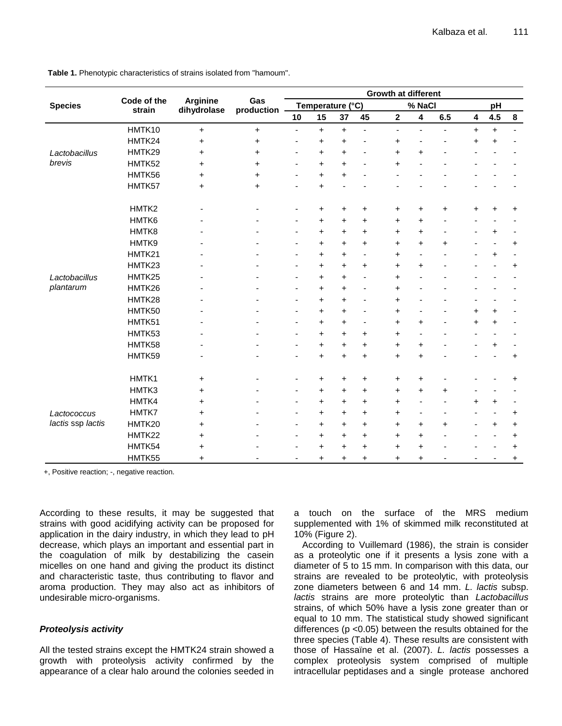|                                  | Code of the<br>strain | <b>Arginine</b><br>dihydrolase | Gas<br>production | <b>Growth at different</b> |           |           |                          |                          |           |           |           |                          |                          |
|----------------------------------|-----------------------|--------------------------------|-------------------|----------------------------|-----------|-----------|--------------------------|--------------------------|-----------|-----------|-----------|--------------------------|--------------------------|
| <b>Species</b>                   |                       |                                |                   | Temperature (°C)           |           |           | % NaCl                   |                          |           | pH        |           |                          |                          |
|                                  |                       |                                |                   | 10                         | 15        | 37        | 45                       | $\overline{\mathbf{2}}$  | 4         | 6.5       | 4         | 4.5                      | $\bf 8$                  |
|                                  | HMTK10                | $\ddot{}$                      | +                 | ÷,                         | $\ddot{}$ | $\ddot{}$ |                          | $\overline{\phantom{a}}$ |           |           | $\ddot{}$ | $\ddot{}$                | $\blacksquare$           |
| Lactobacillus<br>brevis          | HMTK24                | $\ddot{}$                      | $\ddot{}$         |                            | +         | +         |                          | +                        |           |           | +         | $\ddot{}$                | $\overline{\phantom{a}}$ |
|                                  | HMTK29                | +                              | +                 |                            | +         | +         |                          | +                        | +         |           |           |                          |                          |
|                                  | HMTK52                | $\ddot{}$                      | ÷                 |                            | $\ddot{}$ | +         |                          | $\ddot{}$                |           |           |           |                          |                          |
|                                  | HMTK56                | $\ddot{}$                      | $\ddot{}$         |                            | $\ddot{}$ | $\ddot{}$ |                          |                          |           |           |           |                          |                          |
|                                  | HMTK57                | +                              | +                 |                            | +         |           |                          |                          |           |           |           |                          |                          |
|                                  | HMTK2                 |                                |                   |                            | +         | +         | +                        | +                        | +         | $\ddot{}$ | +         | +                        | +                        |
|                                  | HMTK6                 |                                |                   |                            | +         | $\ddot{}$ | $\ddot{}$                | +                        | $\ddot{}$ |           |           | $\overline{\phantom{0}}$ | $\blacksquare$           |
|                                  | HMTK8                 |                                |                   |                            | +         | $\ddot{}$ | $\ddot{}$                | $\ddot{}$                | $\ddot{}$ |           |           | $\ddot{}$                | $\overline{\phantom{a}}$ |
|                                  | HMTK9                 |                                |                   |                            | +         | $\ddot{}$ | $\ddot{}$                | $\ddot{}$                | $\ddot{}$ | +         |           |                          | $\ddot{}$                |
|                                  | HMTK21                |                                |                   |                            | +         | +         | $\overline{\phantom{a}}$ | +                        |           |           |           | $\ddot{}$                |                          |
|                                  | HMTK23                |                                |                   |                            | $\ddot{}$ | $\ddot{}$ | $\ddot{}$                | $\ddot{}$                | +         |           |           |                          | $\ddot{}$                |
| Lactobacillus                    | HMTK25                |                                |                   |                            | $\ddot{}$ | +         | $\overline{\phantom{a}}$ | $\ddot{}$                |           |           |           |                          |                          |
| plantarum                        | HMTK26                |                                |                   |                            | $\ddot{}$ | $\ddot{}$ |                          | $\ddot{}$                |           |           |           |                          |                          |
|                                  | HMTK28                |                                |                   |                            | $\ddot{}$ | $\ddot{}$ |                          | $\ddot{}$                |           |           |           |                          |                          |
|                                  | HMTK50                |                                |                   |                            | $\ddot{}$ | +         | ٠                        | $\ddot{}$                |           |           | +         | $\ddot{}$                |                          |
|                                  | HMTK51                |                                |                   |                            | $\ddot{}$ | $\ddot{}$ | $\overline{\phantom{a}}$ | $\ddot{}$                | $\ddot{}$ |           | +         | $\ddot{}$                | $\overline{\phantom{a}}$ |
|                                  | HMTK53                |                                |                   |                            | $\ddot{}$ | +         | +                        | $\ddot{}$                |           |           |           | ٠                        |                          |
|                                  | HMTK58                |                                |                   |                            | $\ddot{}$ | +         | $\ddot{}$                | +                        | +         |           |           | $\ddot{}$                |                          |
|                                  | HMTK59                |                                |                   |                            | $\ddot{}$ | $\ddot{}$ | $\ddot{}$                | $\ddot{}$                | $\ddot{}$ |           |           |                          | +                        |
| Lactococcus<br>lactis ssp lactis | HMTK1                 | +                              |                   |                            | +         | +         | +                        | +                        | +         |           |           |                          | +                        |
|                                  | HMTK3                 | +                              |                   |                            | +         | +         | $\ddot{}$                | +                        | +         | +         |           |                          |                          |
|                                  | HMTK4                 | +                              |                   |                            | +         | +         | +                        | $\ddot{}$                |           |           | +         | +                        |                          |
|                                  | HMTK7                 | +                              |                   |                            | $\ddot{}$ | $\ddot{}$ | +                        | $\ddot{}$                |           |           |           | $\blacksquare$           | +                        |
|                                  | HMTK20                | $\ddot{}$                      |                   |                            | $\ddot{}$ | +         | +                        | $\ddot{}$                | +         | +         |           | $\ddot{}$                | $\ddot{}$                |
|                                  | HMTK22                | +                              |                   |                            | +         | +         | $\ddot{}$                | +                        | +         |           |           |                          | +                        |
|                                  | HMTK54                | +                              |                   |                            | $\ddot{}$ | +         | +                        | $\ddot{}$                | +         |           |           |                          | +                        |
|                                  | HMTK55                | +                              |                   |                            | +         | +         | +                        | +                        | +         |           |           |                          | +                        |

**Table 1.** Phenotypic characteristics of strains isolated from "hamoum".

+, Positive reaction; -, negative reaction.

According to these results, it may be suggested that strains with good acidifying activity can be proposed for application in the dairy industry, in which they lead to pH decrease, which plays an important and essential part in the coagulation of milk by destabilizing the casein micelles on one hand and giving the product its distinct and characteristic taste, thus contributing to flavor and aroma production. They may also act as inhibitors of undesirable micro-organisms.

# *Proteolysis activity*

All the tested strains except the HMTK24 strain showed a growth with proteolysis activity confirmed by the appearance of a clear halo around the colonies seeded in a touch on the surface of the MRS medium supplemented with 1% of skimmed milk reconstituted at 10% (Figure 2).

According to Vuillemard (1986), the strain is consider as a proteolytic one if it presents a lysis zone with a diameter of 5 to 15 mm. In comparison with this data, our strains are revealed to be proteolytic, with proteolysis zone diameters between 6 and 14 mm. *L. lactis* subsp. *lactis* strains are more proteolytic than *Lactobacillus*  strains, of which 50% have a lysis zone greater than or equal to 10 mm. The statistical study showed significant differences (p <0.05) between the results obtained for the three species (Table 4). These results are consistent with those of Hassaïne et al. (2007). *L. lactis* possesses a complex proteolysis system comprised of multiple intracellular peptidases and a single protease anchored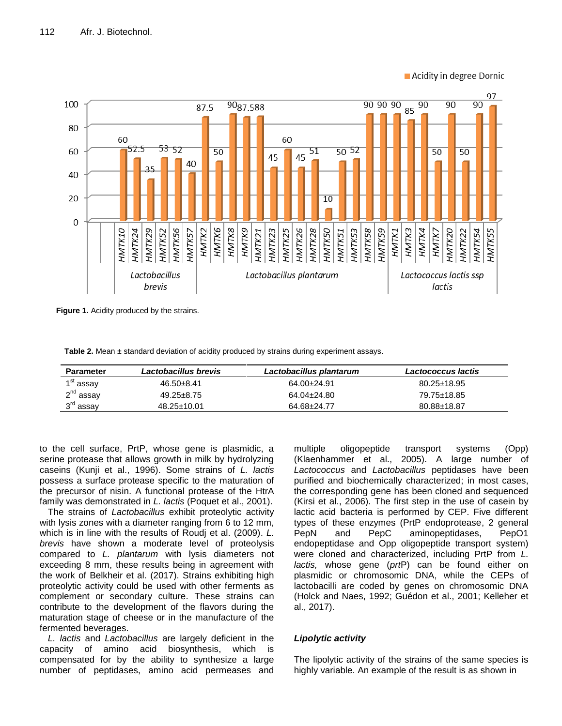Acidity in degree Dornic



**Figure 1.** Acidity produced by the strains.

| Table 2. Mean ± standard deviation of acidity produced by strains during experiment assays. |  |  |  |
|---------------------------------------------------------------------------------------------|--|--|--|
|---------------------------------------------------------------------------------------------|--|--|--|

| <b>Parameter</b>      | Lactobacillus brevis | Lactobacillus plantarum | Lactococcus lactis |
|-----------------------|----------------------|-------------------------|--------------------|
| 1 <sup>st</sup> assay | 46.50±8.41           | $64.00+24.91$           | $80.25 \pm 18.95$  |
| $2^{nd}$ assay        | $49.25 \pm 8.75$     | 64.04±24.80             | 79.75±18.85        |
| $3rd$ assay           | $48.25 \pm 10.01$    | 64.68±24.77             | 80.88±18.87        |

to the cell surface, PrtP, whose gene is plasmidic, a serine protease that allows growth in milk by hydrolyzing caseins (Kunji et al., 1996). Some strains of *L. lactis* possess a surface protease specific to the maturation of the precursor of nisin. A functional protease of the HtrA family was demonstrated in *L. lactis* (Poquet et al., 2001).

The strains of *Lactobacillus* exhibit proteolytic activity with lysis zones with a diameter ranging from 6 to 12 mm, which is in line with the results of Roudj et al. (2009). *L. brevis* have shown a moderate level of proteolysis compared to *L. plantarum* with lysis diameters not exceeding 8 mm, these results being in agreement with the work of Belkheir et al. (2017). Strains exhibiting high proteolytic activity could be used with other ferments as complement or secondary culture. These strains can contribute to the development of the flavors during the maturation stage of cheese or in the manufacture of the fermented beverages.

*L. lactis* and *Lactobacillus* are largely deficient in the capacity of amino acid biosynthesis, which is compensated for by the ability to synthesize a large number of peptidases, amino acid permeases and multiple oligopeptide transport systems (Opp) (Klaenhammer et al., 2005). A large number of *Lactococcus* and *Lactobacillus* peptidases have been purified and biochemically characterized; in most cases, the corresponding gene has been cloned and sequenced (Kirsi et al., 2006). The first step in the use of casein by lactic acid bacteria is performed by CEP. Five different types of these enzymes (PrtP endoprotease, 2 general PepN and PepC aminopeptidases, PepO1 endopeptidase and Opp oligopeptide transport system) were cloned and characterized, including PrtP from *L. lactis,* whose gene (*prt*P) can be found either on plasmidic or chromosomic DNA, while the CEPs of lactobacilli are coded by genes on chromosomic DNA (Holck and Naes, 1992; Guédon et al., 2001; Kelleher et al., 2017).

# *Lipolytic activity*

The lipolytic activity of the strains of the same species is highly variable. An example of the result is as shown in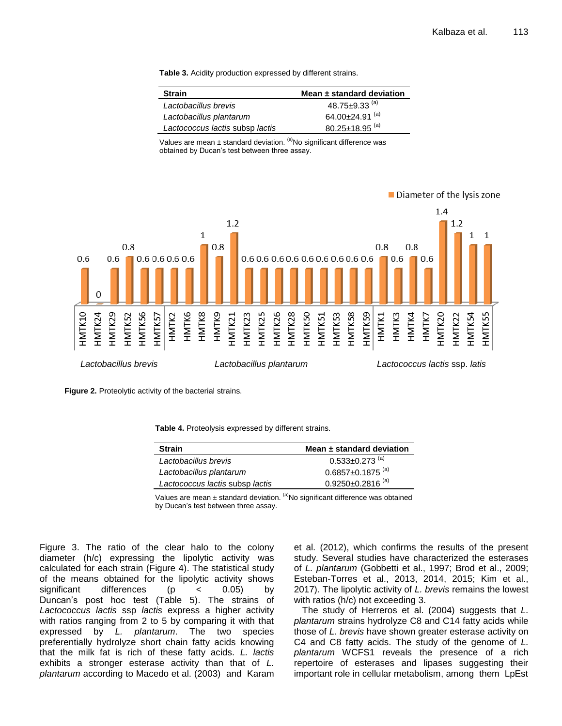**Table 3.** Acidity production expressed by different strains.

| <b>Strain</b>                   | Mean $\pm$ standard deviation    |
|---------------------------------|----------------------------------|
| Lactobacillus brevis            | 48.75 $\pm$ 9.33 <sup>(a)</sup>  |
| Lactobacillus plantarum         | 64.00 $\pm$ 24.91 $(a)$          |
| Lactococcus lactis subsp lactis | 80.25 $\pm$ 18.95 <sup>(a)</sup> |

Values are mean  $\pm$  standard deviation. <sup>(a)</sup>No significant difference was obtained by Ducan's test between three assay.



**Figure 2.** Proteolytic activity of the bacterial strains.

**Table 4.** Proteolysis expressed by different strains.

| <b>Strain</b>                   | Mean $\pm$ standard deviation      |
|---------------------------------|------------------------------------|
| Lactobacillus brevis            | $0.533 \pm 0.273$ <sup>(a)</sup>   |
| Lactobacillus plantarum         | $0.6857 \pm 0.1875$ <sup>(a)</sup> |
| Lactococcus lactis subsp lactis | $0.9250\pm0.2816$ <sup>(a)</sup>   |
|                                 |                                    |

Values are mean  $\pm$  standard deviation. <sup>(a)</sup>No significant difference was obtained by Ducan's test between three assay.

Figure 3. The ratio of the clear halo to the colony diameter (h/c) expressing the lipolytic activity was calculated for each strain (Figure 4). The statistical study of the means obtained for the lipolytic activity shows significant differences (p < 0.05) by Duncan's post hoc test (Table 5). The strains of *Lactococcus lactis* ssp *lactis* express a higher activity with ratios ranging from 2 to 5 by comparing it with that expressed by *L. plantarum*. The two species preferentially hydrolyze short chain fatty acids knowing that the milk fat is rich of these fatty acids. *L. lactis* exhibits a stronger esterase activity than that of *L. plantarum* according to Macedo et al. (2003) and Karam

et al. (2012), which confirms the results of the present study. Several studies have characterized the esterases of *L. plantarum* (Gobbetti et al., 1997; Brod et al., 2009; Esteban-Torres et al., 2013, 2014, 2015; Kim et al., 2017). The lipolytic activity of *L. brevis* remains the lowest with ratios (h/c) not exceeding 3.

The study of Herreros et al. (2004) suggests that *L. plantarum* strains hydrolyze C8 and C14 fatty acids while those of *L. brevis* have shown greater esterase activity on C4 and C8 fatty acids. The study of the genome of *L. plantarum* WCFS1 reveals the presence of a rich repertoire of esterases and lipases suggesting their important role in cellular metabolism, among them LpEst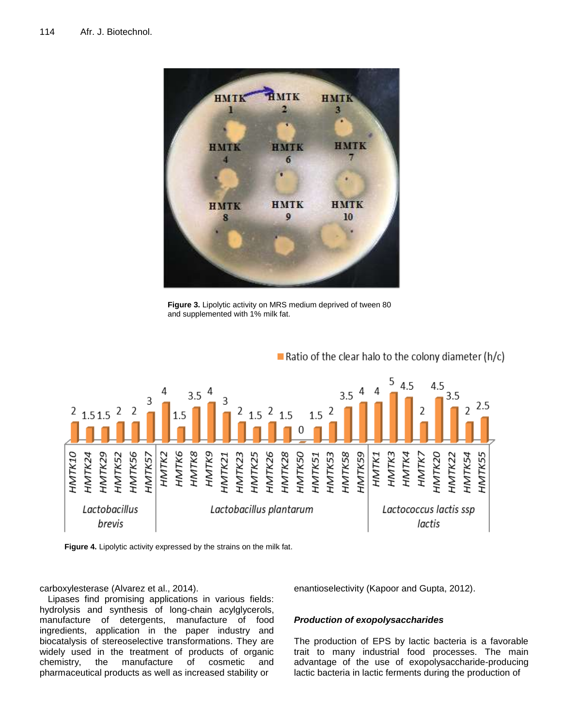

**Figure 3.** Lipolytic activity on MRS medium deprived of tween 80 and supplemented with 1% milk fat.



# Ratio of the clear halo to the colony diameter ( $h/c$ )

**Figure 4.** Lipolytic activity expressed by the strains on the milk fat.

carboxylesterase (Alvarez et al., 2014).

Lipases find promising applications in various fields: hydrolysis and synthesis of long-chain acylglycerols, manufacture of detergents, manufacture of food ingredients, application in the paper industry and biocatalysis of stereoselective transformations. They are widely used in the treatment of products of organic chemistry, the manufacture of cosmetic and pharmaceutical products as well as increased stability or

enantioselectivity (Kapoor and Gupta, 2012).

#### *Production of exopolysaccharides*

The production of EPS by lactic bacteria is a favorable trait to many industrial food processes. The main advantage of the use of exopolysaccharide-producing lactic bacteria in lactic ferments during the production of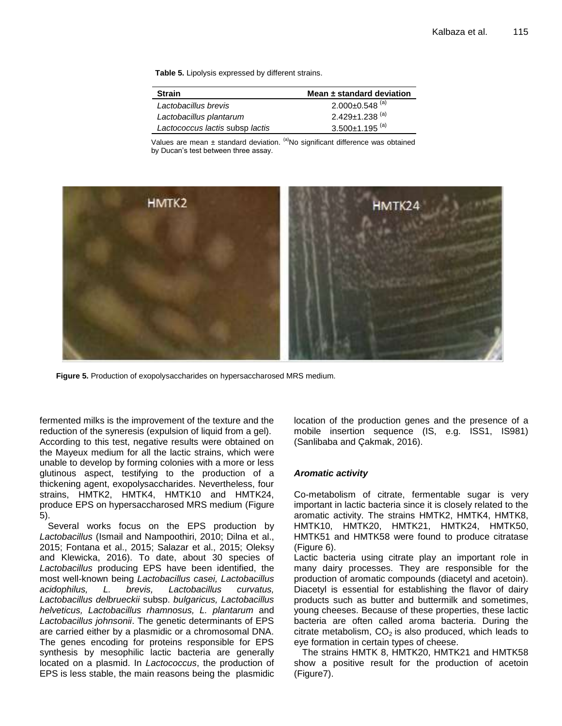**Table 5.** Lipolysis expressed by different strains.

| <b>Strain</b>                   | Mean ± standard deviation        |
|---------------------------------|----------------------------------|
| Lactobacillus brevis            | $2.000 \pm 0.548$ <sup>(a)</sup> |
| Lactobacillus plantarum         | 2.429 $\pm$ 1.238 <sup>(a)</sup> |
| Lactococcus lactis subsp lactis | 3.500 $\pm$ 1.195 <sup>(a)</sup> |

Values are mean  $\pm$  standard deviation.  $^{(a)}$ No significant difference was obtained by Ducan's test between three assay.



**Figure 5.** Production of exopolysaccharides on hypersaccharosed MRS medium.

fermented milks is the improvement of the texture and the reduction of the syneresis (expulsion of liquid from a gel). According to this test, negative results were obtained on the Mayeux medium for all the lactic strains, which were unable to develop by forming colonies with a more or less glutinous aspect, testifying to the production of a thickening agent, exopolysaccharides. Nevertheless, four strains, HMTK2, HMTK4, HMTK10 and HMTK24, produce EPS on hypersaccharosed MRS medium (Figure 5).

Several works focus on the EPS production by *Lactobacillus* (Ismail and Nampoothiri, 2010; Dilna et al., 2015; Fontana et al., 2015; Salazar et al., 2015; Oleksy and Klewicka, 2016). To date, about 30 species of *Lactobacillus* producing EPS have been identified, the most well-known being *Lactobacillus casei, Lactobacillus acidophilus, L. brevis, Lactobacillus curvatus, Lactobacillus delbrueckii* subsp. *bulgaricus, Lactobacillus helveticus, Lactobacillus rhamnosus, L. plantarum* and *Lactobacillus johnsonii*. The genetic determinants of EPS are carried either by a plasmidic or a chromosomal DNA. The genes encoding for proteins responsible for EPS synthesis by mesophilic lactic bacteria are generally located on a plasmid. In *Lactococcus*, the production of EPS is less stable, the main reasons being the plasmidic location of the production genes and the presence of a mobile insertion sequence (IS, e.g. ISS1, IS981) (Sanlibaba and Çakmak, 2016).

#### *Aromatic activity*

Co-metabolism of citrate, fermentable sugar is very important in lactic bacteria since it is closely related to the aromatic activity. The strains HMTK2, HMTK4, HMTK8, HMTK10, HMTK20, HMTK21, HMTK24, HMTK50, HMTK51 and HMTK58 were found to produce citratase (Figure 6).

Lactic bacteria using citrate play an important role in many dairy processes. They are responsible for the production of aromatic compounds (diacetyl and acetoin). Diacetyl is essential for establishing the flavor of dairy products such as butter and buttermilk and sometimes, young cheeses. Because of these properties, these lactic bacteria are often called aroma bacteria. During the citrate metabolism,  $CO<sub>2</sub>$  is also produced, which leads to eye formation in certain types of cheese.

The strains HMTK 8, HMTK20, HMTK21 and HMTK58 show a positive result for the production of acetoin (Figure7).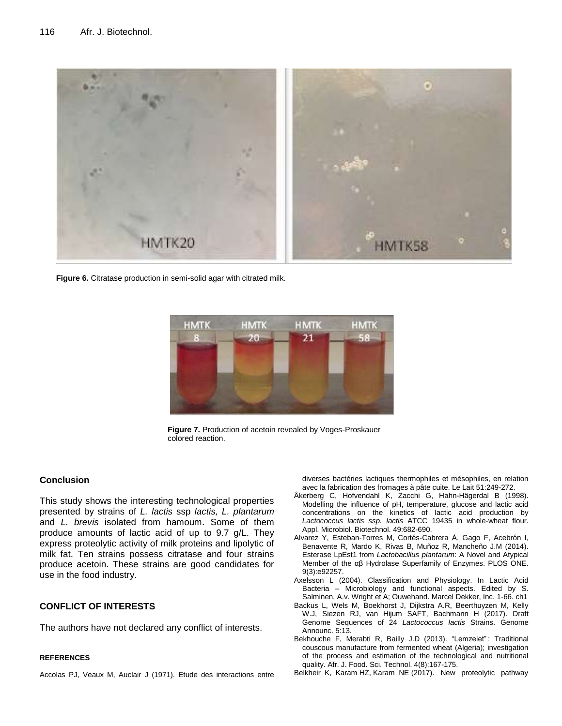

**Figure 6.** Citratase production in semi-solid agar with citrated milk.



**Figure 7.** Production of acetoin revealed by Voges-Proskauer colored reaction.

#### **Conclusion**

This study shows the interesting technological properties presented by strains of *L. lactis* ssp *lactis, L. plantarum* and *L. brevis* isolated from hamoum. Some of them produce amounts of lactic acid of up to 9.7 g/L. They express proteolytic activity of milk proteins and lipolytic of milk fat. Ten strains possess citratase and four strains produce acetoin. These strains are good candidates for use in the food industry.

# **CONFLICT OF INTERESTS**

The authors have not declared any conflict of interests.

#### **REFERENCES**

Accolas PJ, Veaux M, Auclair J (1971). Etude des interactions entre

diverses bactéries lactiques thermophiles et mésophiles, en relation avec la fabrication des fromages à pâte cuite. Le Lait 51:249-272.

- Åkerberg C, Hofvendahl K, Zacchi G, Hahn-Hägerdal B (1998). Modelling the influence of pH, temperature, glucose and lactic acid concentrations on the kinetics of lactic acid production by *Lactococcus lactis ssp. lactis* ATCC 19435 in whole-wheat flour. Appl. Microbiol. Biotechnol. 49:682-690.
- Alvarez Y, Esteban-Torres M, Cortés-Cabrera Á, Gago F, Acebrón I, Benavente R, Mardo K, Rivas B, Muñoz R, Mancheño J.M (2014). Esterase LpEst1 from *Lactobacillus plantarum*: A Novel and Atypical Member of the αβ Hydrolase Superfamily of Enzymes. PLOS ONE. 9(3):e92257.
- Axelsson L (2004). Classification and Physiology. In Lactic Acid Bacteria – Microbiology and functional aspects. Edited by S. Salminen, A.v. Wright et A; Ouwehand. Marcel Dekker, Inc. 1-66. ch1
- Backus L, Wels M, Boekhorst J, Dijkstra A.R, Beerthuyzen M, Kelly W.J, Siezen RJ, van Hijum SAFT, Bachmann H (2017). Draft Genome Sequences of 24 *Lactococcus lactis* Strains. Genome Announc. 5:13.
- Bekhouche F, Merabti R, Bailly J.D (2013). "Lemzeiet": Traditional couscous manufacture from fermented wheat (Algeria); investigation of the process and estimation of the technological and nutritional quality. Afr. J. Food. Sci. Technol. 4(8):167-175.
- Belkheir K, Karam HZ, Karam NE (2017). New proteolytic pathway